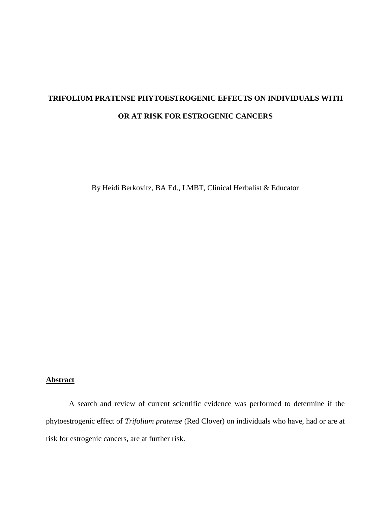# **TRIFOLIUM PRATENSE PHYTOESTROGENIC EFFECTS ON INDIVIDUALS WITH OR AT RISK FOR ESTROGENIC CANCERS**

By Heidi Berkovitz, BA Ed., LMBT, Clinical Herbalist & Educator

# **Abstract**

A search and review of current scientific evidence was performed to determine if the phytoestrogenic effect of *Trifolium pratense* (Red Clover) on individuals who have, had or are at risk for estrogenic cancers, are at further risk.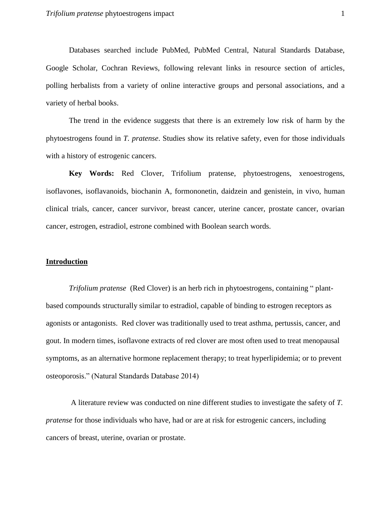Databases searched include PubMed, PubMed Central, Natural Standards Database, Google Scholar, Cochran Reviews, following relevant links in resource section of articles, polling herbalists from a variety of online interactive groups and personal associations, and a variety of herbal books.

The trend in the evidence suggests that there is an extremely low risk of harm by the phytoestrogens found in *T. pratense*. Studies show its relative safety*,* even for those individuals with a history of estrogenic cancers.

**Key Words:** Red Clover, Trifolium pratense, phytoestrogens, xenoestrogens, isoflavones, isoflavanoids, biochanin A, formononetin, daidzein and genistein, in vivo, human clinical trials, cancer, cancer survivor, breast cancer, uterine cancer, prostate cancer, ovarian cancer, estrogen, estradiol, estrone combined with Boolean search words.

### **Introduction**

*Trifolium pratense* (Red Clover) is an herb rich in phytoestrogens, containing " plantbased compounds structurally similar to estradiol, capable of binding to estrogen receptors as agonists or antagonists. Red clover was traditionally used to treat asthma, pertussis, cancer, and gout. In modern times, isoflavone extracts of red clover are most often used to treat menopausal symptoms, as an alternative hormone replacement therapy; to treat hyperlipidemia; or to prevent osteoporosis." (Natural Standards Database 2014)

A literature review was conducted on nine different studies to investigate the safety of *T. pratense* for those individuals who have, had or are at risk for estrogenic cancers, including cancers of breast, uterine, ovarian or prostate.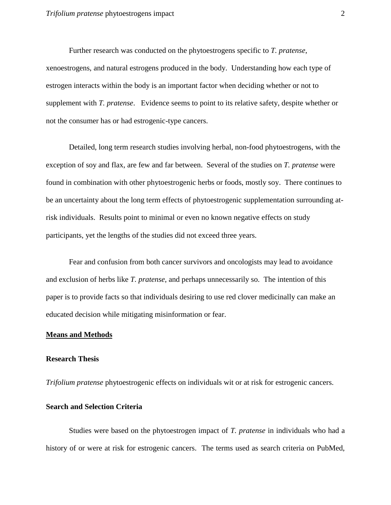Further research was conducted on the phytoestrogens specific to *T. pratense*, xenoestrogens, and natural estrogens produced in the body. Understanding how each type of estrogen interacts within the body is an important factor when deciding whether or not to supplement with *T. pratense*. Evidence seems to point to its relative safety, despite whether or not the consumer has or had estrogenic-type cancers.

Detailed, long term research studies involving herbal, non-food phytoestrogens, with the exception of soy and flax, are few and far between. Several of the studies on *T. pratense* were found in combination with other phytoestrogenic herbs or foods, mostly soy. There continues to be an uncertainty about the long term effects of phytoestrogenic supplementation surrounding atrisk individuals. Results point to minimal or even no known negative effects on study participants, yet the lengths of the studies did not exceed three years.

Fear and confusion from both cancer survivors and oncologists may lead to avoidance and exclusion of herbs like *T. pratense*, and perhaps unnecessarily so. The intention of this paper is to provide facts so that individuals desiring to use red clover medicinally can make an educated decision while mitigating misinformation or fear.

#### **Means and Methods**

#### **Research Thesis**

*Trifolium pratense* phytoestrogenic effects on individuals wit or at risk for estrogenic cancers.

# **Search and Selection Criteria**

Studies were based on the phytoestrogen impact of *T. pratense* in individuals who had a history of or were at risk for estrogenic cancers. The terms used as search criteria on PubMed,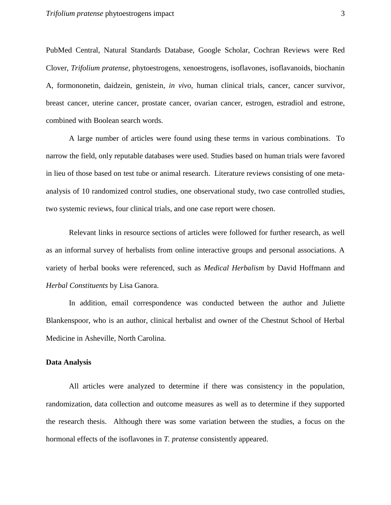PubMed Central, Natural Standards Database, Google Scholar, Cochran Reviews were Red Clover, *Trifolium pratense*, phytoestrogens, xenoestrogens, isoflavones, isoflavanoids, biochanin A, formononetin, daidzein, genistein, *in vivo*, human clinical trials, cancer, cancer survivor, breast cancer, uterine cancer, prostate cancer, ovarian cancer, estrogen, estradiol and estrone, combined with Boolean search words.

A large number of articles were found using these terms in various combinations. To narrow the field, only reputable databases were used. Studies based on human trials were favored in lieu of those based on test tube or animal research. Literature reviews consisting of one metaanalysis of 10 randomized control studies, one observational study, two case controlled studies, two systemic reviews, four clinical trials, and one case report were chosen.

Relevant links in resource sections of articles were followed for further research, as well as an informal survey of herbalists from online interactive groups and personal associations. A variety of herbal books were referenced, such as *Medical Herbalism* by David Hoffmann and *Herbal Constituents* by Lisa Ganora.

In addition, email correspondence was conducted between the author and Juliette Blankenspoor, who is an author, clinical herbalist and owner of the Chestnut School of Herbal Medicine in Asheville, North Carolina.

# **Data Analysis**

All articles were analyzed to determine if there was consistency in the population, randomization, data collection and outcome measures as well as to determine if they supported the research thesis. Although there was some variation between the studies, a focus on the hormonal effects of the isoflavones in *T. pratense* consistently appeared.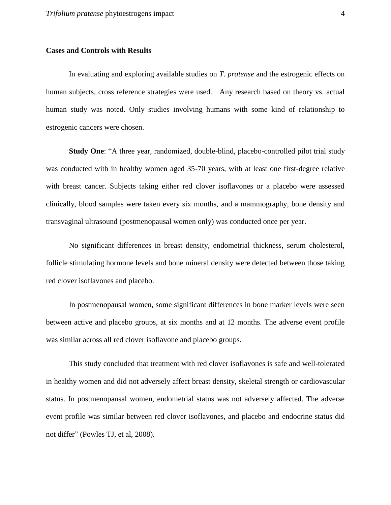# **Cases and Controls with Results**

In evaluating and exploring available studies on *T. pratense* and the estrogenic effects on human subjects, cross reference strategies were used. Any research based on theory vs. actual human study was noted. Only studies involving humans with some kind of relationship to estrogenic cancers were chosen.

**Study One**: "A three year, randomized, double-blind, placebo-controlled pilot trial study was conducted with in healthy women aged 35-70 years, with at least one first-degree relative with breast cancer. Subjects taking either red clover isoflavones or a placebo were assessed clinically, blood samples were taken every six months, and a mammography, bone density and transvaginal ultrasound (postmenopausal women only) was conducted once per year.

No significant differences in breast density, endometrial thickness, serum cholesterol, follicle stimulating hormone levels and bone mineral density were detected between those taking red clover isoflavones and placebo.

In postmenopausal women, some significant differences in bone marker levels were seen between active and placebo groups, at six months and at 12 months. The adverse event profile was similar across all red clover isoflavone and placebo groups.

This study concluded that treatment with red clover isoflavones is safe and well-tolerated in healthy women and did not adversely affect breast density, skeletal strength or cardiovascular status. In postmenopausal women, endometrial status was not adversely affected. The adverse event profile was similar between red clover isoflavones, and placebo and endocrine status did not differ" (Powles TJ, et al, 2008).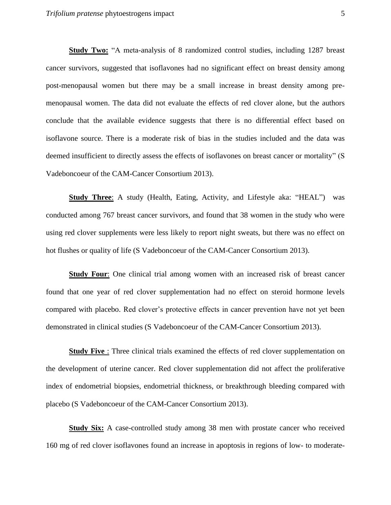**Study Two:** "A meta-analysis of 8 randomized control studies, including 1287 breast cancer survivors, suggested that isoflavones had no significant effect on breast density among post-menopausal women but there may be a small increase in breast density among premenopausal women. The data did not evaluate the effects of red clover alone, but the authors conclude that the available evidence suggests that there is no differential effect based on isoflavone source. There is a moderate risk of bias in the studies included and the data was deemed insufficient to directly assess the effects of isoflavones on breast cancer or mortality" (S Vadeboncoeur of the CAM-Cancer Consortium 2013).

**Study Three:** A study (Health, Eating, Activity, and Lifestyle aka: "HEAL") was conducted among 767 breast cancer survivors, and found that 38 women in the study who were using red clover supplements were less likely to report night sweats, but there was no effect on hot flushes or quality of life (S Vadeboncoeur of the CAM-Cancer Consortium 2013).

**Study Four**: One clinical trial among women with an increased risk of breast cancer found that one year of red clover supplementation had no effect on steroid hormone levels compared with placebo. Red clover's protective effects in cancer prevention have not yet been demonstrated in clinical studies (S Vadeboncoeur of the CAM-Cancer Consortium 2013).

**Study Five**: Three clinical trials examined the effects of red clover supplementation on the development of uterine cancer. Red clover supplementation did not affect the proliferative index of endometrial biopsies, endometrial thickness, or breakthrough bleeding compared with placebo (S Vadeboncoeur of the CAM-Cancer Consortium 2013).

**Study Six:** A case-controlled study among 38 men with prostate cancer who received 160 mg of red clover isoflavones found an increase in apoptosis in regions of low- to moderate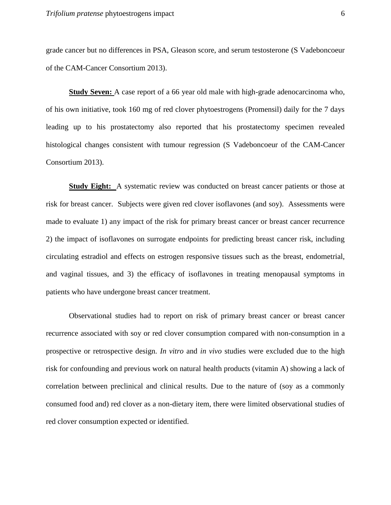grade cancer but no differences in PSA, Gleason score, and serum testosterone (S Vadeboncoeur of the CAM-Cancer Consortium 2013).

**Study Seven:** A case report of a 66 year old male with high-grade adenocarcinoma who, of his own initiative, took 160 mg of red clover phytoestrogens (Promensil) daily for the 7 days leading up to his prostatectomy also reported that his prostatectomy specimen revealed histological changes consistent with tumour regression (S Vadeboncoeur of the CAM-Cancer Consortium 2013).

**Study Eight:** A systematic review was conducted on breast cancer patients or those at risk for breast cancer. Subjects were given red clover isoflavones (and soy). Assessments were made to evaluate 1) any impact of the risk for primary breast cancer or breast cancer recurrence 2) the impact of isoflavones on surrogate endpoints for predicting breast cancer risk, including circulating estradiol and effects on estrogen responsive tissues such as the breast, endometrial, and vaginal tissues, and 3) the efficacy of isoflavones in treating menopausal symptoms in patients who have undergone breast cancer treatment.

Observational studies had to report on risk of primary breast cancer or breast cancer recurrence associated with soy or red clover consumption compared with non-consumption in a prospective or retrospective design*. In vitro* and *in vivo* studies were excluded due to the high risk for confounding and previous work on natural health products (vitamin A) showing a lack of correlation between preclinical and clinical results. Due to the nature of (soy as a commonly consumed food and) red clover as a non-dietary item, there were limited observational studies of red clover consumption expected or identified.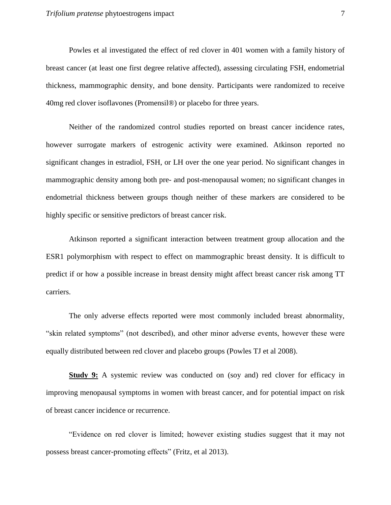Powles et al investigated the effect of red clover in 401 women with a family history of breast cancer (at least one first degree relative affected), assessing circulating FSH, endometrial thickness, mammographic density, and bone density. Participants were randomized to receive 40mg red clover isoflavones (Promensil®) or placebo for three years.

Neither of the randomized control studies reported on breast cancer incidence rates, however surrogate markers of estrogenic activity were examined. Atkinson reported no significant changes in estradiol, FSH, or LH over the one year period. No significant changes in mammographic density among both pre- and post-menopausal women; no significant changes in endometrial thickness between groups though neither of these markers are considered to be highly specific or sensitive predictors of breast cancer risk.

Atkinson reported a significant interaction between treatment group allocation and the ESR1 polymorphism with respect to effect on mammographic breast density. It is difficult to predict if or how a possible increase in breast density might affect breast cancer risk among TT carriers.

The only adverse effects reported were most commonly included breast abnormality, "skin related symptoms" (not described), and other minor adverse events, however these were equally distributed between red clover and placebo groups (Powles TJ et al 2008).

**Study 9:** A systemic review was conducted on (soy and) red clover for efficacy in improving menopausal symptoms in women with breast cancer, and for potential impact on risk of breast cancer incidence or recurrence.

"Evidence on red clover is limited; however existing studies suggest that it may not possess breast cancer-promoting effects" (Fritz, et al 2013).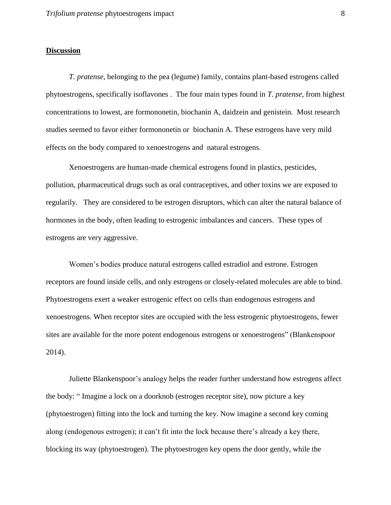# **Discussion**

*T. pratense,* belonging to the pea (legume) family, contains plant-based estrogens called phytoestrogens, specifically isoflavones . The four main types found in *T. pratense*, from highest concentrations to lowest, are formononetin, biochanin A, daidzein and genistein. Most research studies seemed to favor either formononetin or biochanin A. These estrogens have very mild effects on the body compared to xenoestrogens and natural estrogens.

Xenoestrogens are human-made chemical estrogens found in plastics, pesticides, pollution, pharmaceutical drugs such as oral contraceptives, and other toxins we are exposed to regularily. They are considered to be estrogen disruptors, which can alter the natural balance of hormones in the body, often leading to estrogenic imbalances and cancers. These types of estrogens are very aggressive.

Women's bodies produce natural estrogens called estradiol and estrone. Estrogen receptors are found inside cells, and only estrogens or closely-related molecules are able to bind. Phytoestrogens exert a weaker estrogenic effect on cells than endogenous estrogens and xenoestrogens. When receptor sites are occupied with the less estrogenic phytoestrogens, fewer sites are available for the more potent endogenous estrogens or xenoestrogens" (Blankenspoor 2014).

Juliette Blankenspoor's analogy helps the reader further understand how estrogens affect the body: " Imagine a lock on a doorknob (estrogen receptor site), now picture a key (phytoestrogen) fitting into the lock and turning the key. Now imagine a second key coming along (endogenous estrogen); it can't fit into the lock because there's already a key there, blocking its way (phytoestrogen). The phytoestrogen key opens the door gently, while the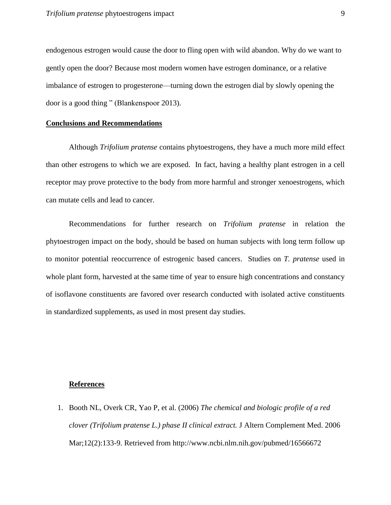endogenous estrogen would cause the door to fling open with wild abandon. Why do we want to gently open the door? Because most modern women have estrogen dominance, or a relative imbalance of estrogen to progesterone—turning down the estrogen dial by slowly opening the door is a good thing " (Blankenspoor 2013).

### **Conclusions and Recommendations**

Although *Trifolium pratense* contains phytoestrogens, they have a much more mild effect than other estrogens to which we are exposed. In fact, having a healthy plant estrogen in a cell receptor may prove protective to the body from more harmful and stronger xenoestrogens, which can mutate cells and lead to cancer.

Recommendations for further research on *Trifolium pratense* in relation the phytoestrogen impact on the body, should be based on human subjects with long term follow up to monitor potential reoccurrence of estrogenic based cancers. Studies on *T. pratense* used in whole plant form, harvested at the same time of year to ensure high concentrations and constancy of isoflavone constituents are favored over research conducted with isolated active constituents in standardized supplements, as used in most present day studies.

#### **References**

1. Booth NL, Overk CR, Yao P, et al. (2006) *The chemical and biologic profile of a red clover (Trifolium pratense L.) phase II clinical extract.* J Altern Complement Med. 2006 Mar;12(2):133-9. Retrieved from http://www.ncbi.nlm.nih.gov/pubmed/16566672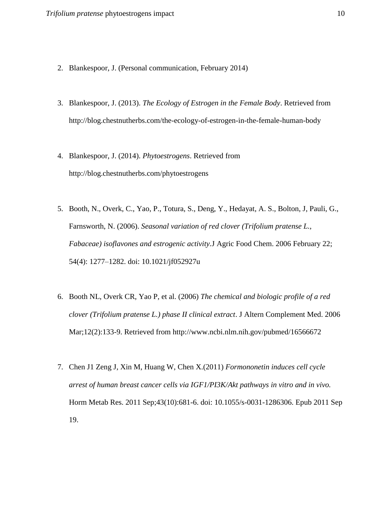- 2. Blankespoor, J. (Personal communication, February 2014)
- 3. Blankespoor, J. (2013). *The Ecology of Estrogen in the Female Body*. Retrieved from http://blog.chestnutherbs.com/the-ecology-of-estrogen-in-the-female-human-body
- 4. Blankespoor, J. (2014). *Phytoestrogens*. Retrieved from http://blog.chestnutherbs.com/phytoestrogens
- 5. Booth, N., Overk, C., Yao, P., Totura, S., Deng, Y., Hedayat, A. S., Bolton, J, Pauli, G., Farnsworth, N. (2006). *Seasonal variation of red clover (Trifolium pratense L., Fabaceae) isoflavones and estrogenic activity.*J Agric Food Chem. 2006 February 22; 54(4): 1277–1282. doi: 10.1021/jf052927u
- 6. Booth NL, Overk CR, Yao P, et al. (2006) *The chemical and biologic profile of a red clover (Trifolium pratense L.) phase II clinical extract*. J Altern Complement Med. 2006 Mar;12(2):133-9. Retrieved from http://www.ncbi.nlm.nih.gov/pubmed/16566672
- 7. Chen J1 Zeng J, Xin M, Huang W, Chen X.(2011) *Formononetin induces cell cycle arrest of human breast cancer cells via IGF1/PI3K/Akt pathways in vitro and in vivo.* Horm Metab Res. 2011 Sep;43(10):681-6. doi: 10.1055/s-0031-1286306. Epub 2011 Sep 19.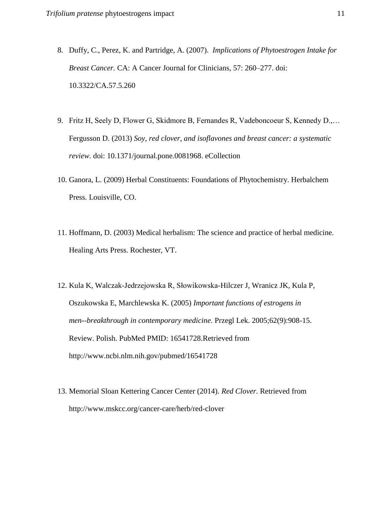- 8. Duffy, C., Perez, K. and Partridge, A. (2007). *Implications of Phytoestrogen Intake for Breast Cancer.* CA: A Cancer Journal for Clinicians, 57: 260–277. doi: 10.3322/CA.57.5.260
- 9. Fritz H, Seely D, Flower G, Skidmore B, Fernandes R, Vadeboncoeur S, Kennedy D.,… Fergusson D. (2013) *Soy, red clover, and isoflavones and breast cancer: a systematic review.* doi: 10.1371/journal.pone.0081968. eCollection
- 10. Ganora, L. (2009) Herbal Constituents: Foundations of Phytochemistry. Herbalchem Press. Louisville, CO.
- 11. Hoffmann, D. (2003) Medical herbalism: The science and practice of herbal medicine. Healing Arts Press. Rochester, VT.
- 12. Kula K, Walczak-Jedrzejowska R, Słowikowska-Hilczer J, Wranicz JK, Kula P, Oszukowska E, Marchlewska K. (2005) *Important functions of estrogens in men--breakthrough in contemporary medicine.* Przegl Lek. 2005;62(9):908-15. Review. Polish. PubMed PMID: 16541728.Retrieved from http://www.ncbi.nlm.nih.gov/pubmed/16541728
- 13. Memorial Sloan Kettering Cancer Center (2014). *Red Clover*. Retrieved from http://www.mskcc.org/cancer-care/herb/red-clover